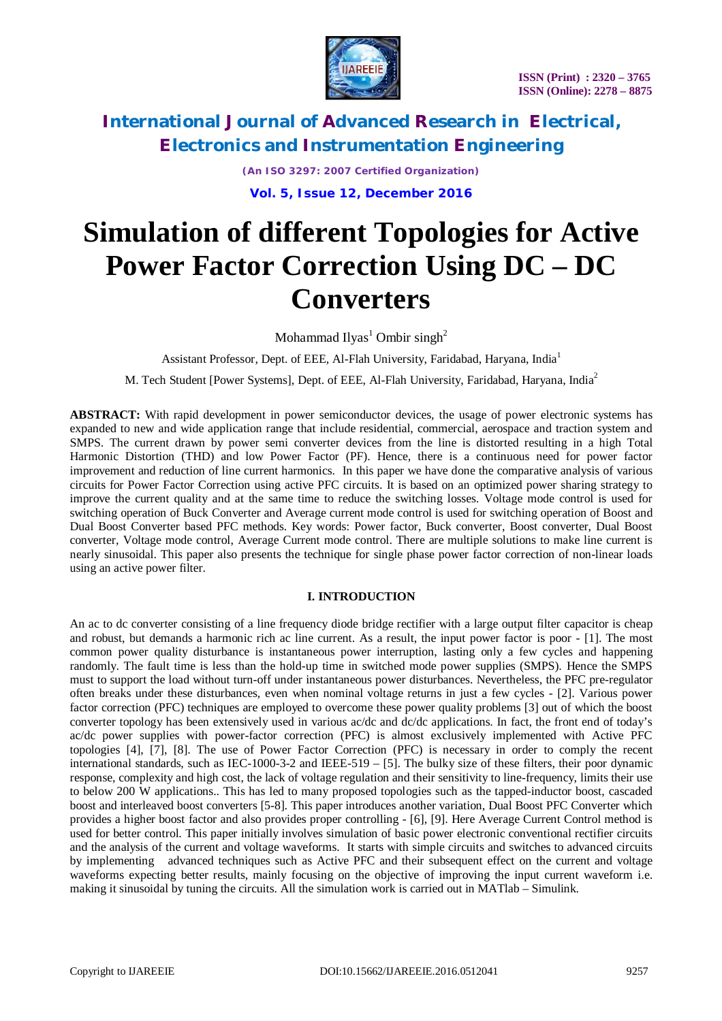

*(An ISO 3297: 2007 Certified Organization)* **Vol. 5, Issue 12, December 2016**

# **Simulation of different Topologies for Active Power Factor Correction Using DC – DC Converters**

Mohammad Ilyas<sup>1</sup> Ombir singh<sup>2</sup>

Assistant Professor, Dept. of EEE, Al-Flah University, Faridabad, Haryana, India<sup>1</sup>

M. Tech Student [Power Systems], Dept. of EEE, Al-Flah University, Faridabad, Haryana, India<sup>2</sup>

**ABSTRACT:** With rapid development in power semiconductor devices, the usage of power electronic systems has expanded to new and wide application range that include residential, commercial, aerospace and traction system and SMPS. The current drawn by power semi converter devices from the line is distorted resulting in a high Total Harmonic Distortion (THD) and low Power Factor (PF). Hence, there is a continuous need for power factor improvement and reduction of line current harmonics. In this paper we have done the comparative analysis of various circuits for Power Factor Correction using active PFC circuits. It is based on an optimized power sharing strategy to improve the current quality and at the same time to reduce the switching losses. Voltage mode control is used for switching operation of Buck Converter and Average current mode control is used for switching operation of Boost and Dual Boost Converter based PFC methods. Key words: Power factor, Buck converter, Boost converter, Dual Boost converter, Voltage mode control, Average Current mode control. There are multiple solutions to make line current is nearly sinusoidal. This paper also presents the technique for single phase power factor correction of non-linear loads using an active power filter.

### **I. INTRODUCTION**

An ac to dc converter consisting of a line frequency diode bridge rectifier with a large output filter capacitor is cheap and robust, but demands a harmonic rich ac line current. As a result, the input power factor is poor - [1]. The most common power quality disturbance is instantaneous power interruption, lasting only a few cycles and happening randomly. The fault time is less than the hold-up time in switched mode power supplies (SMPS). Hence the SMPS must to support the load without turn-off under instantaneous power disturbances. Nevertheless, the PFC pre-regulator often breaks under these disturbances, even when nominal voltage returns in just a few cycles - [2]. Various power factor correction (PFC) techniques are employed to overcome these power quality problems [3] out of which the boost converter topology has been extensively used in various ac/dc and dc/dc applications. In fact, the front end of today's ac/dc power supplies with power-factor correction (PFC) is almost exclusively implemented with Active PFC topologies [4], [7], [8]. The use of Power Factor Correction (PFC) is necessary in order to comply the recent international standards, such as IEC-1000-3-2 and IEEE-519 – [5]. The bulky size of these filters, their poor dynamic response, complexity and high cost, the lack of voltage regulation and their sensitivity to line-frequency, limits their use to below 200 W applications.. This has led to many proposed topologies such as the tapped-inductor boost, cascaded boost and interleaved boost converters [5-8]. This paper introduces another variation, Dual Boost PFC Converter which provides a higher boost factor and also provides proper controlling - [6], [9]. Here Average Current Control method is used for better control. This paper initially involves simulation of basic power electronic conventional rectifier circuits and the analysis of the current and voltage waveforms. It starts with simple circuits and switches to advanced circuits by implementing advanced techniques such as Active PFC and their subsequent effect on the current and voltage waveforms expecting better results, mainly focusing on the objective of improving the input current waveform i.e. making it sinusoidal by tuning the circuits. All the simulation work is carried out in MATlab – Simulink.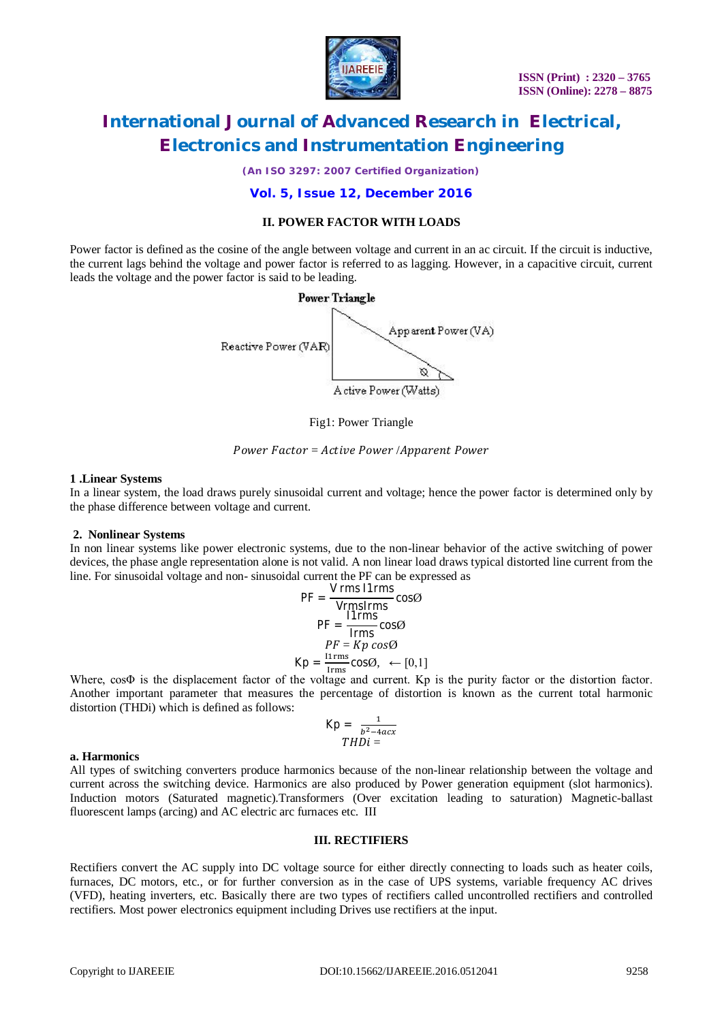

*(An ISO 3297: 2007 Certified Organization)*

#### **Vol. 5, Issue 12, December 2016**

### **II. POWER FACTOR WITH LOADS**

Power factor is defined as the cosine of the angle between voltage and current in an ac circuit. If the circuit is inductive, the current lags behind the voltage and power factor is referred to as lagging. However, in a capacitive circuit, current leads the voltage and the power factor is said to be leading.



Fig1: Power Triangle

Power Factor = Active Power /Apparent Power

#### **1 .Linear Systems**

In a linear system, the load draws purely sinusoidal current and voltage; hence the power factor is determined only by the phase difference between voltage and current.

#### **2. Nonlinear Systems**

In non linear systems like power electronic systems, due to the non-linear behavior of the active switching of power devices, the phase angle representation alone is not valid. A non linear load draws typical distorted line current from the line. For sinusoidal voltage and non- sinusoidal current the PF can be expressed as

$$
PF = \frac{V \text{ rms 11rms}}{V \text{rms} \text{lrms}} \cos\theta
$$

$$
PF = \frac{11 \text{rms}}{\text{lrms}} \cos\theta
$$

$$
PF = Kp \cos\theta
$$

$$
Kp = \frac{11 \text{rms}}{\text{lrms}} \cos\theta, \leftarrow [0,1]
$$

Where, cosΦ is the displacement factor of the voltage and current. Kp is the purity factor or the distortion factor. Another important parameter that measures the percentage of distortion is known as the current total harmonic distortion (THDi) which is defined as follows:

$$
Kp = \frac{1}{b^2 - 4acx}
$$

$$
THDi =
$$

#### **a. Harmonics**

All types of switching converters produce harmonics because of the non-linear relationship between the voltage and current across the switching device. Harmonics are also produced by Power generation equipment (slot harmonics). Induction motors (Saturated magnetic).Transformers (Over excitation leading to saturation) Magnetic-ballast fluorescent lamps (arcing) and AC electric arc furnaces etc. III

#### **III. RECTIFIERS**

Rectifiers convert the AC supply into DC voltage source for either directly connecting to loads such as heater coils, furnaces, DC motors, etc., or for further conversion as in the case of UPS systems, variable frequency AC drives (VFD), heating inverters, etc. Basically there are two types of rectifiers called uncontrolled rectifiers and controlled rectifiers. Most power electronics equipment including Drives use rectifiers at the input.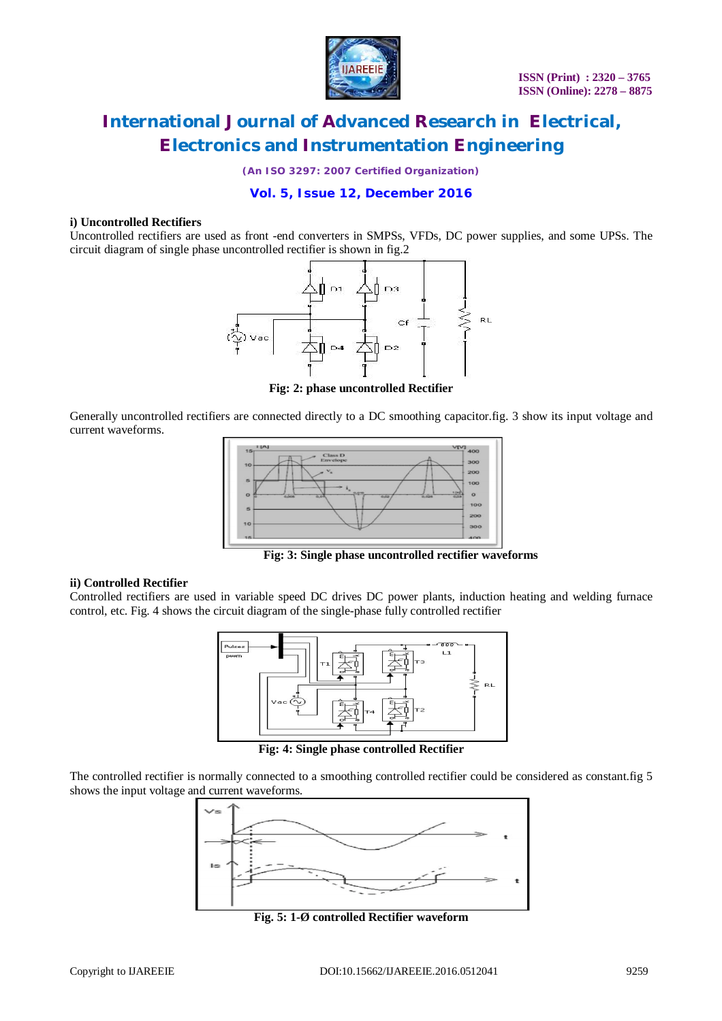

*(An ISO 3297: 2007 Certified Organization)*

### **Vol. 5, Issue 12, December 2016**

#### **i) Uncontrolled Rectifiers**

Uncontrolled rectifiers are used as front -end converters in SMPSs, VFDs, DC power supplies, and some UPSs. The circuit diagram of single phase uncontrolled rectifier is shown in fig.2



**Fig: 2: phase uncontrolled Rectifier**

Generally uncontrolled rectifiers are connected directly to a DC smoothing capacitor.fig. 3 show its input voltage and current waveforms.



 **Fig: 3: Single phase uncontrolled rectifier waveforms**

#### **ii) Controlled Rectifier**

Controlled rectifiers are used in variable speed DC drives DC power plants, induction heating and welding furnace control, etc. Fig. 4 shows the circuit diagram of the single-phase fully controlled rectifier



**Fig: 4: Single phase controlled Rectifier**

The controlled rectifier is normally connected to a smoothing controlled rectifier could be considered as constant.fig 5 shows the input voltage and current waveforms.



**Fig. 5: 1-Ø controlled Rectifier waveform**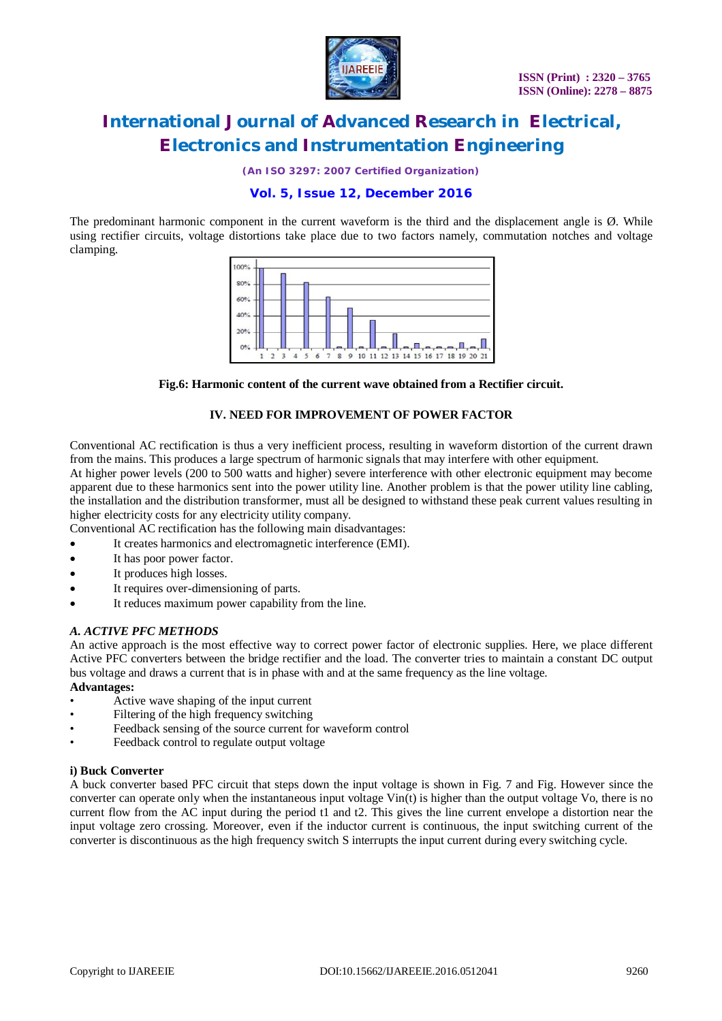

*(An ISO 3297: 2007 Certified Organization)*

# **Vol. 5, Issue 12, December 2016**

The predominant harmonic component in the current waveform is the third and the displacement angle is Ø. While using rectifier circuits, voltage distortions take place due to two factors namely, commutation notches and voltage clamping.



**Fig.6: Harmonic content of the current wave obtained from a Rectifier circuit.**

### **IV. NEED FOR IMPROVEMENT OF POWER FACTOR**

Conventional AC rectification is thus a very inefficient process, resulting in waveform distortion of the current drawn from the mains. This produces a large spectrum of harmonic signals that may interfere with other equipment.

At higher power levels (200 to 500 watts and higher) severe interference with other electronic equipment may become apparent due to these harmonics sent into the power utility line. Another problem is that the power utility line cabling, the installation and the distribution transformer, must all be designed to withstand these peak current values resulting in higher electricity costs for any electricity utility company.

Conventional AC rectification has the following main disadvantages:

- It creates harmonics and electromagnetic interference (EMI).
- It has poor power factor.
- It produces high losses.
- It requires over-dimensioning of parts.
- It reduces maximum power capability from the line.

#### *A. ACTIVE PFC METHODS*

An active approach is the most effective way to correct power factor of electronic supplies. Here, we place different Active PFC converters between the bridge rectifier and the load. The converter tries to maintain a constant DC output bus voltage and draws a current that is in phase with and at the same frequency as the line voltage.

#### **Advantages:**

- Active wave shaping of the input current
- Filtering of the high frequency switching
- Feedback sensing of the source current for waveform control
- Feedback control to regulate output voltage

#### **i) Buck Converter**

A buck converter based PFC circuit that steps down the input voltage is shown in Fig. 7 and Fig. However since the converter can operate only when the instantaneous input voltage Vin(t) is higher than the output voltage Vo, there is no current flow from the AC input during the period t1 and t2. This gives the line current envelope a distortion near the input voltage zero crossing. Moreover, even if the inductor current is continuous, the input switching current of the converter is discontinuous as the high frequency switch S interrupts the input current during every switching cycle.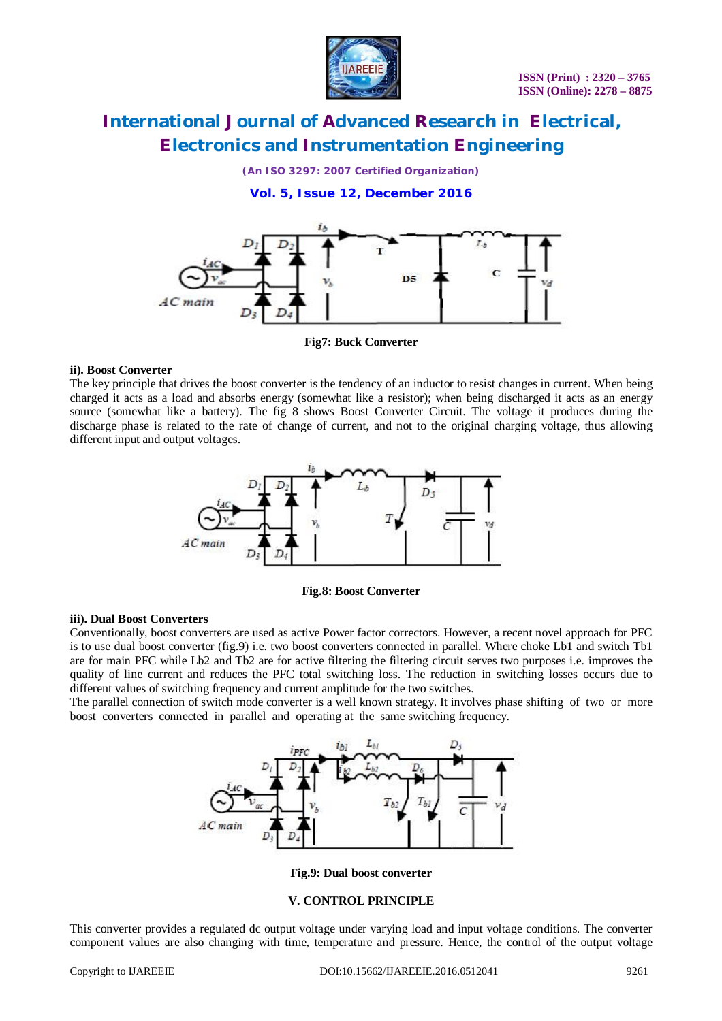

*(An ISO 3297: 2007 Certified Organization)*

### **Vol. 5, Issue 12, December 2016**



**Fig7: Buck Converter**

### **ii). Boost Converter**

The key principle that drives the boost converter is the tendency of an inductor to resist changes in current. When being charged it acts as a load and absorbs energy (somewhat like a resistor); when being discharged it acts as an energy source (somewhat like a battery). The fig 8 shows Boost Converter Circuit. The voltage it produces during the discharge phase is related to the rate of change of current, and not to the original charging voltage, thus allowing different input and output voltages.



**Fig.8: Boost Converter**

### **iii). Dual Boost Converters**

Conventionally, boost converters are used as active Power factor correctors. However, a recent novel approach for PFC is to use dual boost converter (fig.9) i.e. two boost converters connected in parallel. Where choke Lb1 and switch Tb1 are for main PFC while Lb2 and Tb2 are for active filtering the filtering circuit serves two purposes i.e. improves the quality of line current and reduces the PFC total switching loss. The reduction in switching losses occurs due to different values of switching frequency and current amplitude for the two switches.

The parallel connection of switch mode converter is a well known strategy. It involves phase shifting of two or more boost converters connected in parallel and operating at the same switching frequency.



**Fig.9: Dual boost converter**

#### **V. CONTROL PRINCIPLE**

This converter provides a regulated dc output voltage under varying load and input voltage conditions. The converter component values are also changing with time, temperature and pressure. Hence, the control of the output voltage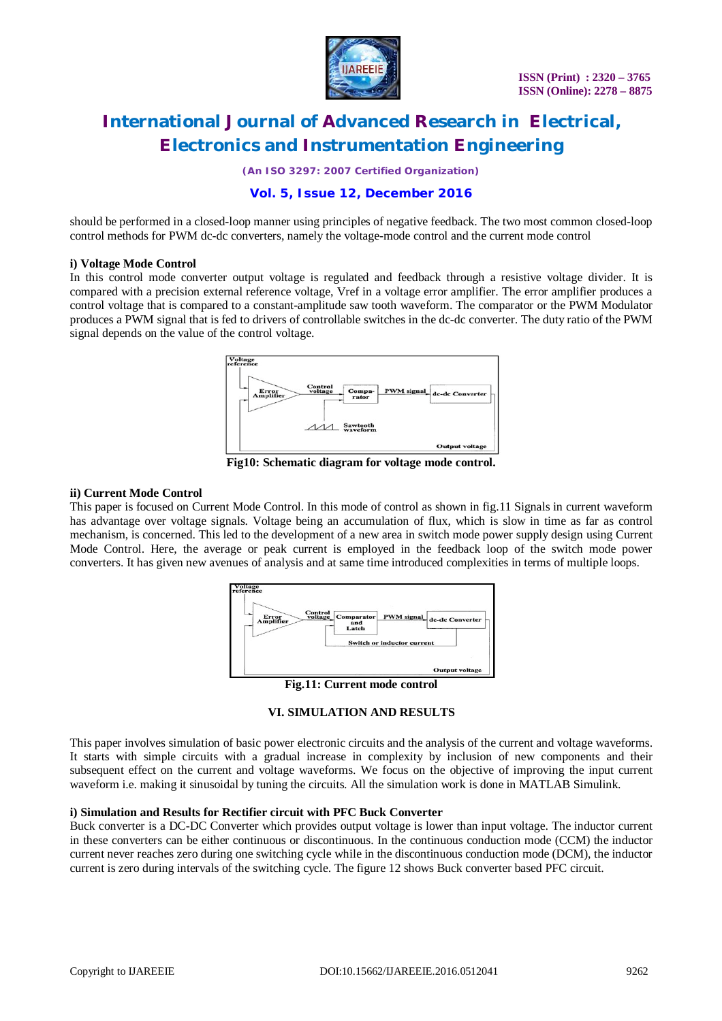

*(An ISO 3297: 2007 Certified Organization)*

### **Vol. 5, Issue 12, December 2016**

should be performed in a closed-loop manner using principles of negative feedback. The two most common closed-loop control methods for PWM dc-dc converters, namely the voltage-mode control and the current mode control

#### **i) Voltage Mode Control**

In this control mode converter output voltage is regulated and feedback through a resistive voltage divider. It is compared with a precision external reference voltage, Vref in a voltage error amplifier. The error amplifier produces a control voltage that is compared to a constant-amplitude saw tooth waveform. The comparator or the PWM Modulator produces a PWM signal that is fed to drivers of controllable switches in the dc-dc converter. The duty ratio of the PWM signal depends on the value of the control voltage.



**Fig10: Schematic diagram for voltage mode control.**

#### **ii) Current Mode Control**

This paper is focused on Current Mode Control. In this mode of control as shown in fig.11 Signals in current waveform has advantage over voltage signals. Voltage being an accumulation of flux, which is slow in time as far as control mechanism, is concerned. This led to the development of a new area in switch mode power supply design using Current Mode Control. Here, the average or peak current is employed in the feedback loop of the switch mode power converters. It has given new avenues of analysis and at same time introduced complexities in terms of multiple loops.



**Fig.11: Current mode control**

### **VI. SIMULATION AND RESULTS**

This paper involves simulation of basic power electronic circuits and the analysis of the current and voltage waveforms. It starts with simple circuits with a gradual increase in complexity by inclusion of new components and their subsequent effect on the current and voltage waveforms. We focus on the objective of improving the input current waveform i.e. making it sinusoidal by tuning the circuits. All the simulation work is done in MATLAB Simulink.

#### **i) Simulation and Results for Rectifier circuit with PFC Buck Converter**

Buck converter is a DC-DC Converter which provides output voltage is lower than input voltage. The inductor current in these converters can be either continuous or discontinuous. In the continuous conduction mode (CCM) the inductor current never reaches zero during one switching cycle while in the discontinuous conduction mode (DCM), the inductor current is zero during intervals of the switching cycle. The figure 12 shows Buck converter based PFC circuit.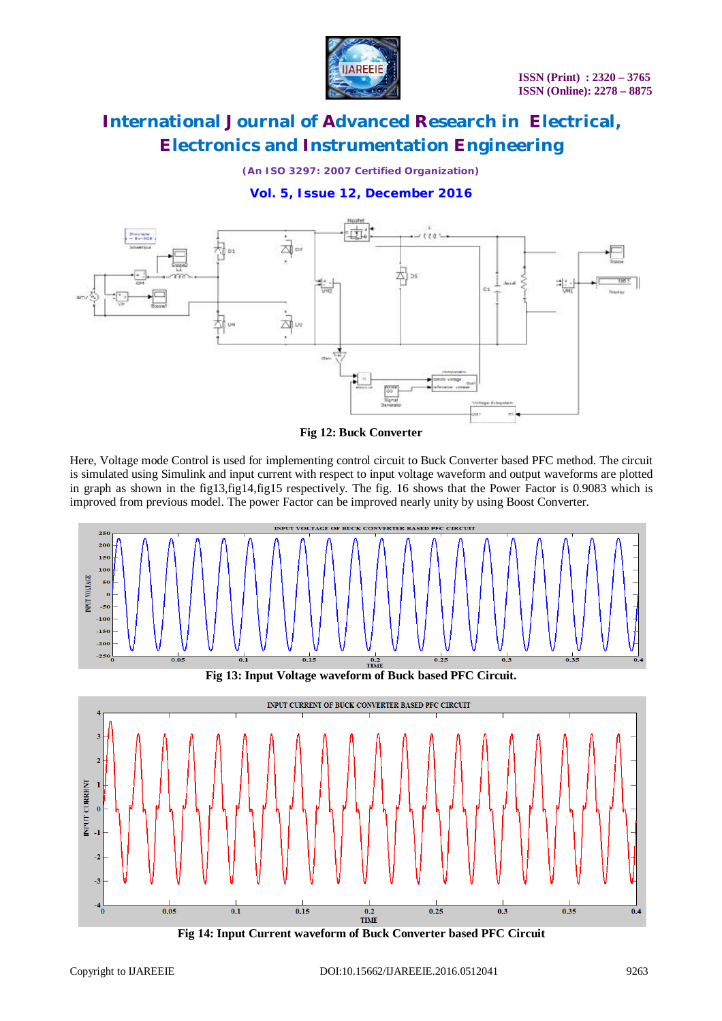

*(An ISO 3297: 2007 Certified Organization)*

### **Vol. 5, Issue 12, December 2016**





Here, Voltage mode Control is used for implementing control circuit to Buck Converter based PFC method. The circuit is simulated using Simulink and input current with respect to input voltage waveform and output waveforms are plotted in graph as shown in the fig13,fig14,fig15 respectively. The fig. 16 shows that the Power Factor is 0.9083 which is improved from previous model. The power Factor can be improved nearly unity by using Boost Converter.

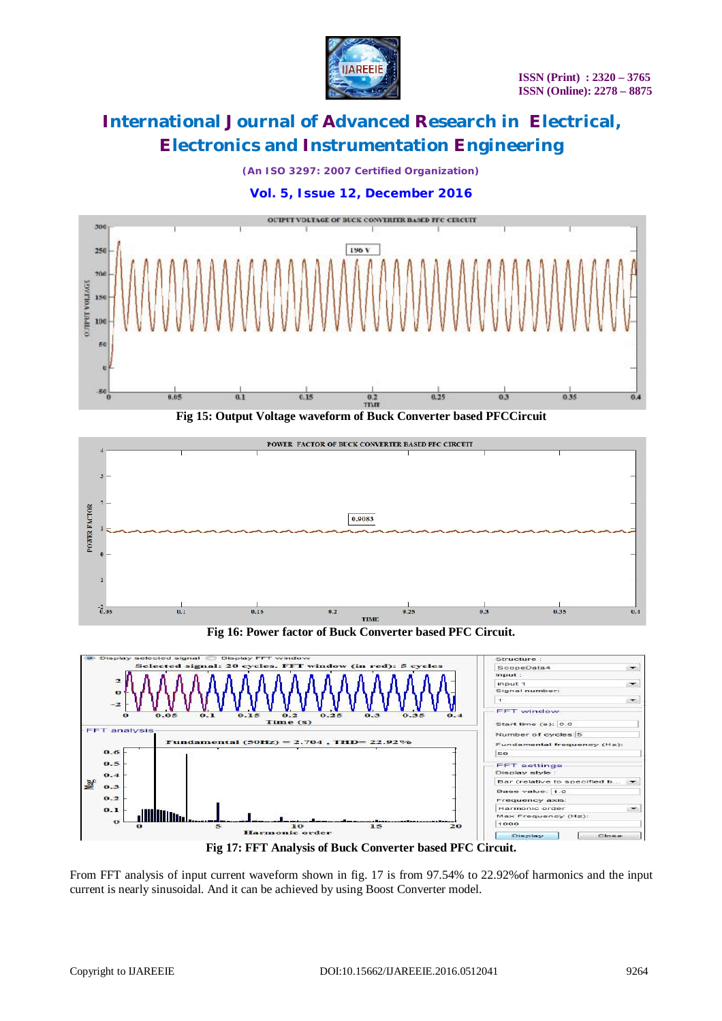

*(An ISO 3297: 2007 Certified Organization)*

# **Vol. 5, Issue 12, December 2016**



**Fig 15: Output Voltage waveform of Buck Converter based PFCCircuit**



**Fig 16: Power factor of Buck Converter based PFC Circuit.**



From FFT analysis of input current waveform shown in fig. 17 is from 97.54% to 22.92%of harmonics and the input current is nearly sinusoidal. And it can be achieved by using Boost Converter model.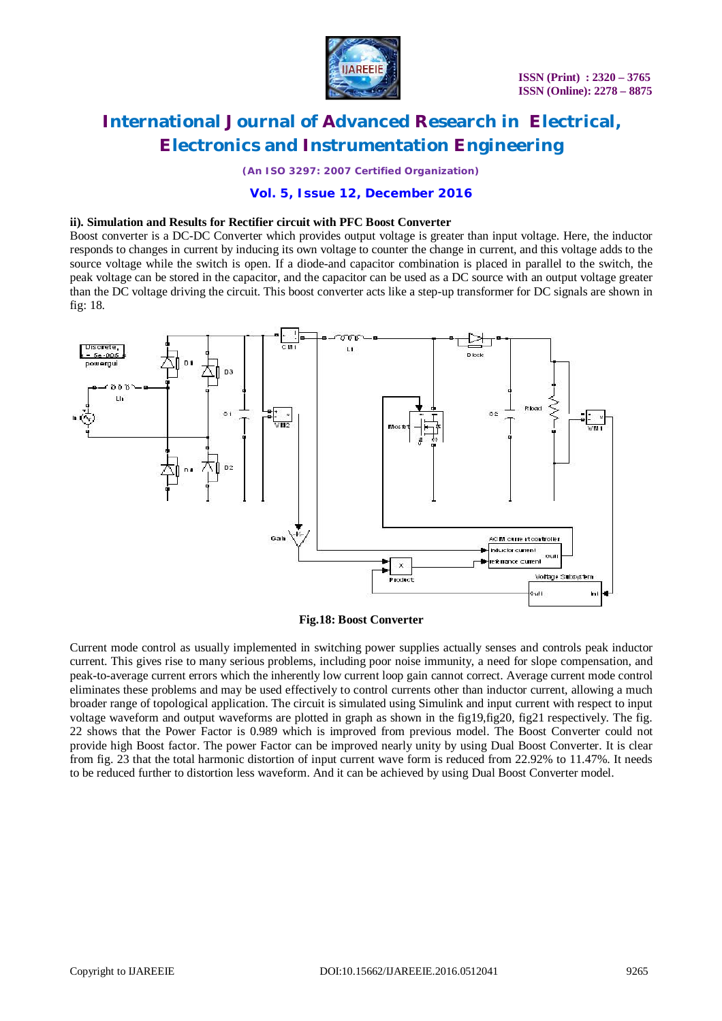

*(An ISO 3297: 2007 Certified Organization)*

### **Vol. 5, Issue 12, December 2016**

#### **ii). Simulation and Results for Rectifier circuit with PFC Boost Converter**

Boost converter is a DC-DC Converter which provides output voltage is greater than input voltage. Here, the inductor responds to changes in current by inducing its own voltage to counter the change in current, and this voltage adds to the source voltage while the switch is open. If a diode-and capacitor combination is placed in parallel to the switch, the peak voltage can be stored in the capacitor, and the capacitor can be used as a DC source with an output voltage greater than the DC voltage driving the circuit. This boost converter acts like a step-up transformer for DC signals are shown in fig: 18.



#### **Fig.18: Boost Converter**

Current mode control as usually implemented in switching power supplies actually senses and controls peak inductor current. This gives rise to many serious problems, including poor noise immunity, a need for slope compensation, and peak-to-average current errors which the inherently low current loop gain cannot correct. Average current mode control eliminates these problems and may be used effectively to control currents other than inductor current, allowing a much broader range of topological application. The circuit is simulated using Simulink and input current with respect to input voltage waveform and output waveforms are plotted in graph as shown in the fig19,fig20, fig21 respectively. The fig. 22 shows that the Power Factor is 0.989 which is improved from previous model. The Boost Converter could not provide high Boost factor. The power Factor can be improved nearly unity by using Dual Boost Converter. It is clear from fig. 23 that the total harmonic distortion of input current wave form is reduced from 22.92% to 11.47%. It needs to be reduced further to distortion less waveform. And it can be achieved by using Dual Boost Converter model.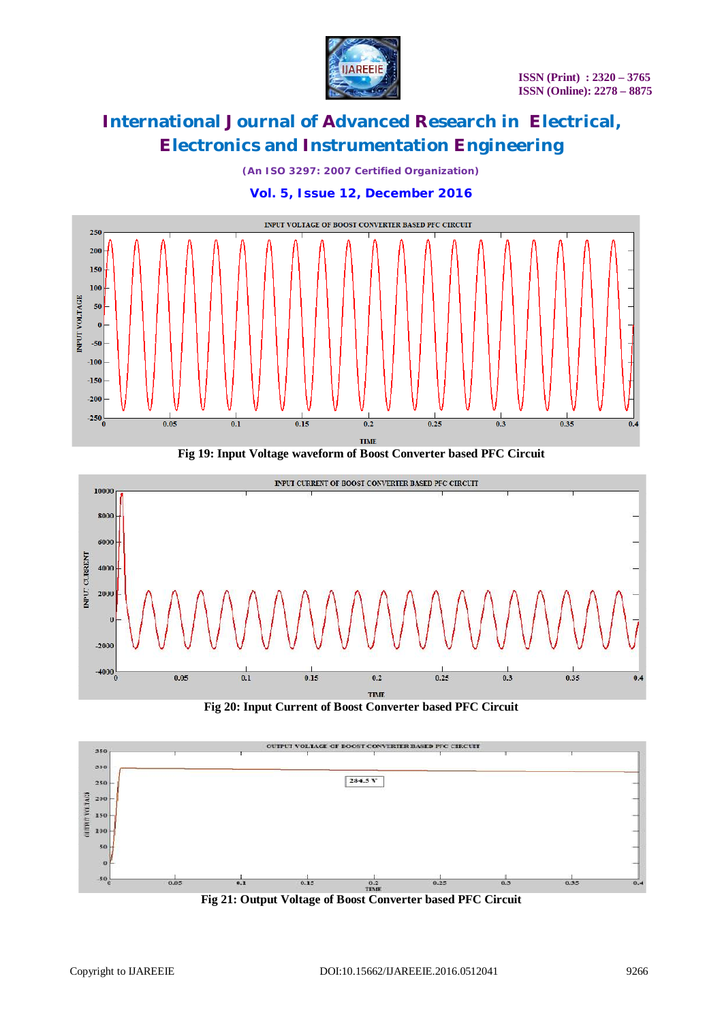

*(An ISO 3297: 2007 Certified Organization)*





**Fig 19: Input Voltage waveform of Boost Converter based PFC Circuit**



**Fig 20: Input Current of Boost Converter based PFC Circuit**



**Fig 21: Output Voltage of Boost Converter based PFC Circuit**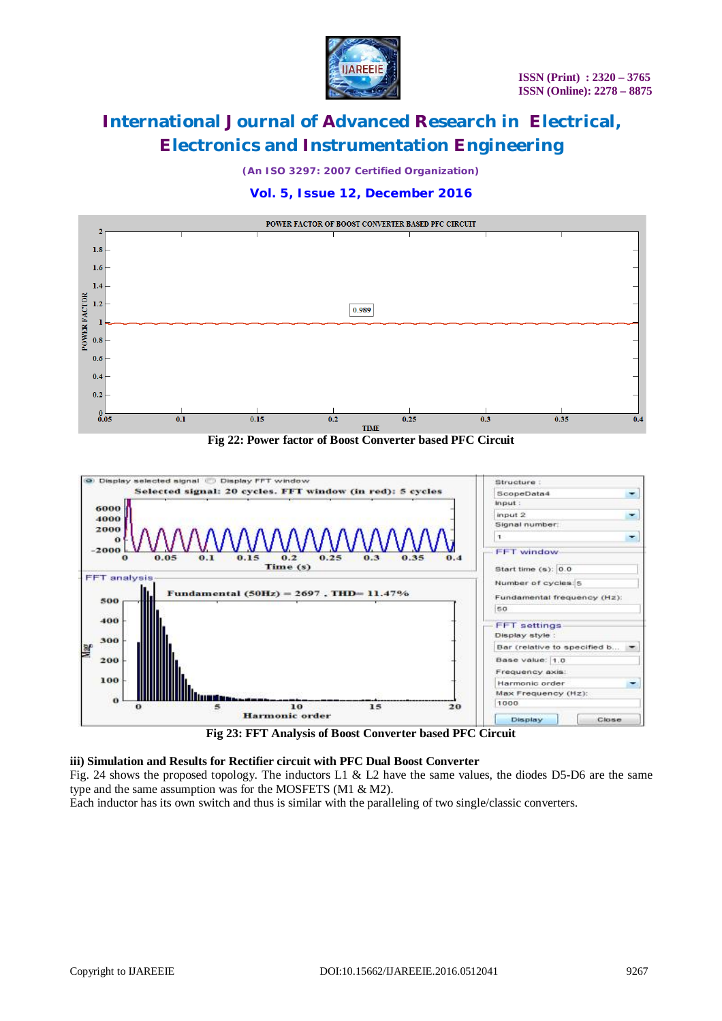

*(An ISO 3297: 2007 Certified Organization)*

### **Vol. 5, Issue 12, December 2016**



**Fig 22: Power factor of Boost Converter based PFC Circuit**



**Fig 23: FFT Analysis of Boost Converter based PFC Circuit**

### **iii) Simulation and Results for Rectifier circuit with PFC Dual Boost Converter**

Fig. 24 shows the proposed topology. The inductors L1 & L2 have the same values, the diodes D5-D6 are the same type and the same assumption was for the MOSFETS (M1 & M2).

Each inductor has its own switch and thus is similar with the paralleling of two single/classic converters.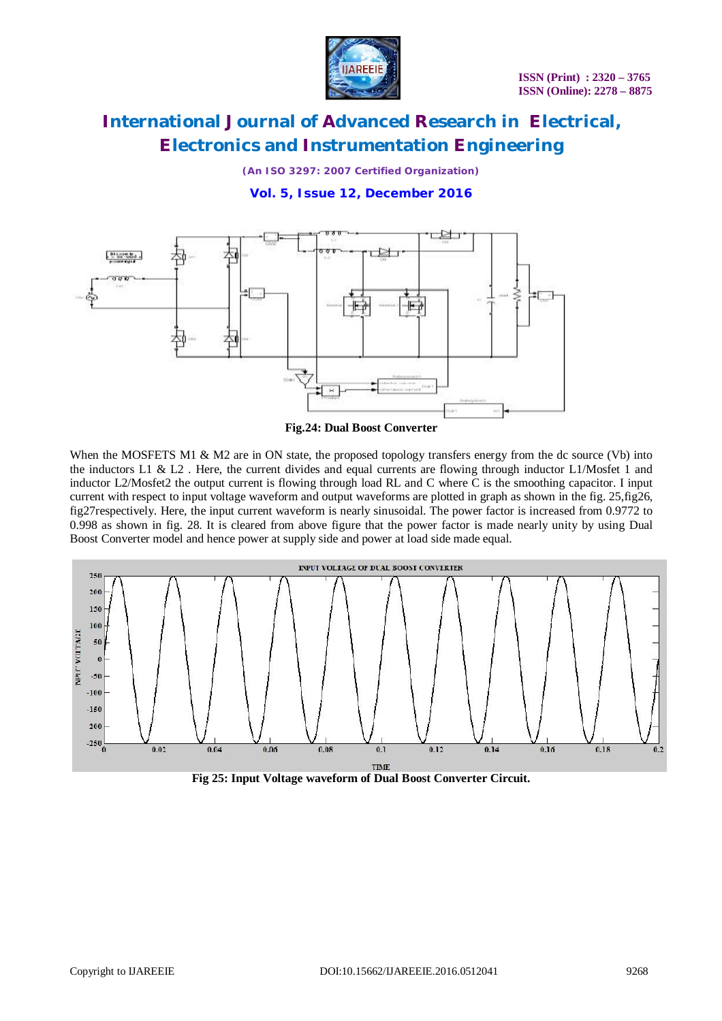

*(An ISO 3297: 2007 Certified Organization)*

### **Vol. 5, Issue 12, December 2016**



**Fig.24: Dual Boost Converter**

When the MOSFETS M1 & M2 are in ON state, the proposed topology transfers energy from the dc source (Vb) into the inductors L1 & L2. Here, the current divides and equal currents are flowing through inductor L1/Mosfet 1 and inductor L2/Mosfet2 the output current is flowing through load RL and C where C is the smoothing capacitor. I input current with respect to input voltage waveform and output waveforms are plotted in graph as shown in the fig. 25,fig26, fig27respectively. Here, the input current waveform is nearly sinusoidal. The power factor is increased from 0.9772 to 0.998 as shown in fig. 28. It is cleared from above figure that the power factor is made nearly unity by using Dual Boost Converter model and hence power at supply side and power at load side made equal.



**Fig 25: Input Voltage waveform of Dual Boost Converter Circuit.**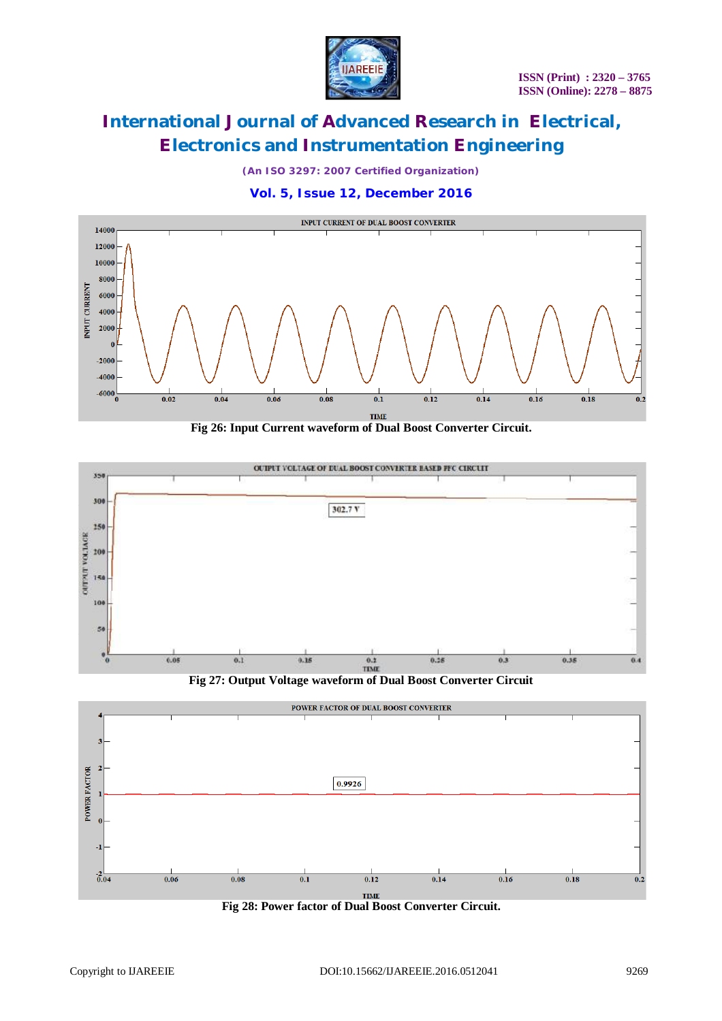

*(An ISO 3297: 2007 Certified Organization)*

**Vol. 5, Issue 12, December 2016**



**Fig 26: Input Current waveform of Dual Boost Converter Circuit.**



**Fig 27: Output Voltage waveform of Dual Boost Converter Circuit**



**Fig 28: Power factor of Dual Boost Converter Circuit.**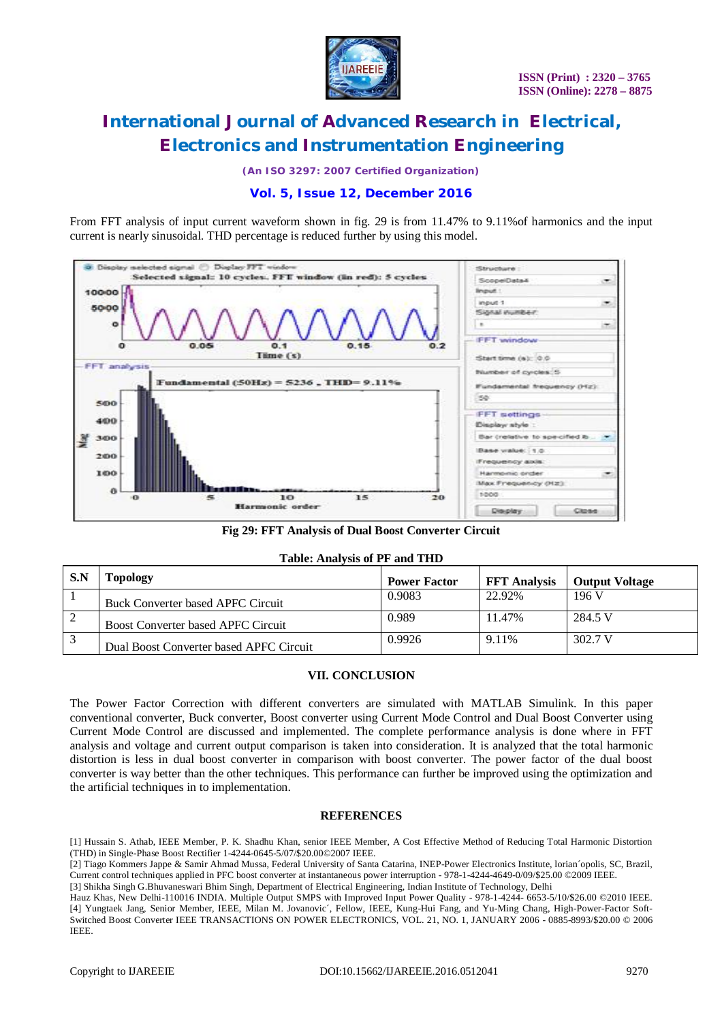

*(An ISO 3297: 2007 Certified Organization)*

### **Vol. 5, Issue 12, December 2016**

From FFT analysis of input current waveform shown in fig. 29 is from 11.47% to 9.11%of harmonics and the input current is nearly sinusoidal. THD percentage is reduced further by using this model.



**Fig 29: FFT Analysis of Dual Boost Converter Circuit**

|  | <b>Table: Analysis of PF and THD</b> |  |  |  |
|--|--------------------------------------|--|--|--|
|--|--------------------------------------|--|--|--|

| S.N | Topology                                  | <b>Power Factor</b> | <b>FFT</b> Analysis | <b>Output Voltage</b> |
|-----|-------------------------------------------|---------------------|---------------------|-----------------------|
|     | Buck Converter based APFC Circuit         | 0.9083              | 22.92%              | 196 V                 |
|     | <b>Boost Converter based APFC Circuit</b> | 0.989               | 11.47%              | 284.5 V               |
|     | Dual Boost Converter based APFC Circuit   | 0.9926              | 9.11%               | 302.7 V               |

### **VII. CONCLUSION**

The Power Factor Correction with different converters are simulated with MATLAB Simulink. In this paper conventional converter, Buck converter, Boost converter using Current Mode Control and Dual Boost Converter using Current Mode Control are discussed and implemented. The complete performance analysis is done where in FFT analysis and voltage and current output comparison is taken into consideration. It is analyzed that the total harmonic distortion is less in dual boost converter in comparison with boost converter. The power factor of the dual boost converter is way better than the other techniques. This performance can further be improved using the optimization and the artificial techniques in to implementation.

#### **REFERENCES**

[1] Hussain S. Athab, IEEE Member, P. K. Shadhu Khan, senior IEEE Member, A Cost Effective Method of Reducing Total Harmonic Distortion (THD) in Single-Phase Boost Rectifier 1-4244-0645-5/07/\$20.00©2007 IEEE.

[2] Tiago Kommers Jappe & Samir Ahmad Mussa, Federal University of Santa Catarina, INEP-Power Electronics Institute, lorian´opolis, SC, Brazil, Current control techniques applied in PFC boost converter at instantaneous power interruption - 978-1-4244-4649-0/09/\$25.00 ©2009 IEEE.

[3] Shikha Singh G.Bhuvaneswari Bhim Singh, Department of Electrical Engineering, Indian Institute of Technology, Delhi

Hauz Khas, New Delhi-110016 INDIA. Multiple Output SMPS with Improved Input Power Quality - 978-1-4244- 6653-5/10/\$26.00 ©2010 IEEE. [4] Yungtaek Jang, Senior Member, IEEE, Milan M. Jovanovic´, Fellow, IEEE, Kung-Hui Fang, and Yu-Ming Chang, High-Power-Factor Soft-Switched Boost Converter IEEE TRANSACTIONS ON POWER ELECTRONICS, VOL. 21, NO. 1, JANUARY 2006 - 0885-8993/\$20.00 © 2006 IEEE.